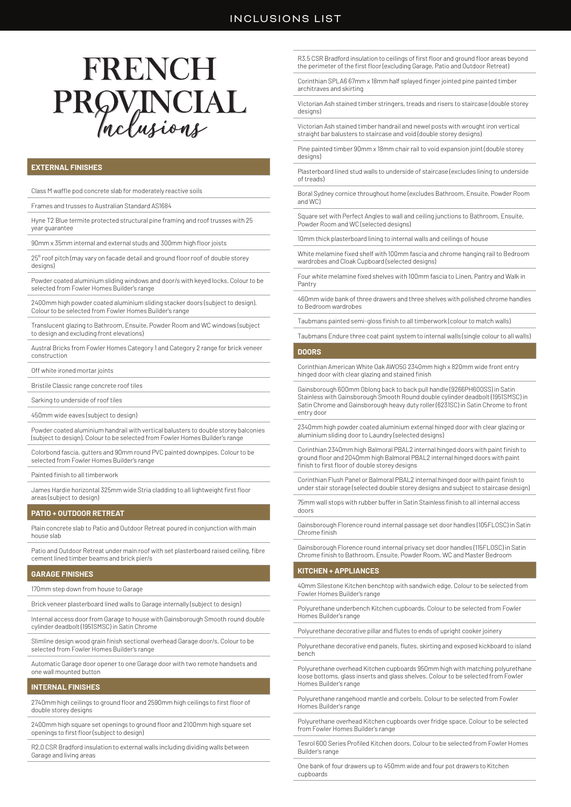# FRENCH PROVINCIAL

# **EXTERNAL FINISHES**

Class M waffle pod concrete slab for moderately reactive soils

Frames and trusses to Australian Standard AS1684

Hyne T2 Blue termite protected structural pine framing and roof trusses with 25 year guarantee

90mm x 35mm internal and external studs and 300mm high floor joists

25° roof pitch (may vary on facade detail and ground floor roof of double storey designs)

Powder coated aluminium sliding windows and door/s with keyed locks. Colour to be selected from Fowler Homes Builder's range

2400mm high powder coated aluminium sliding stacker doors (subject to design). Colour to be selected from Fowler Homes Builder's range

Translucent glazing to Bathroom, Ensuite, Powder Room and WC windows (subject to design and excluding front elevations)

Austral Bricks from Fowler Homes Category 1 and Category 2 range for brick veneer construction

Off white ironed mortar joints

Bristile Classic range concrete roof tiles

Sarking to underside of roof tiles

450mm wide eaves (subject to design)

Powder coated aluminium handrail with vertical balusters to double storey balconies (subject to design). Colour to be selected from Fowler Homes Builder's range

Colorbond fascia, gutters and 90mm round PVC painted downpipes. Colour to be selected from Fowler Homes Builder's range

Painted finish to all timberwork

James Hardie horizontal 325mm wide Stria cladding to all lightweight first floor areas (subject to design)

## **PATIO + OUTDOOR RETREAT**

Plain concrete slab to Patio and Outdoor Retreat poured in conjunction with main house slab

Patio and Outdoor Retreat under main roof with set plasterboard raised ceiling, fibre cement lined timber beams and brick pier/s

## **GARAGE FINISHES**

170mm step down from house to Garage

Brick veneer plasterboard lined walls to Garage internally (subject to design)

Internal access door from Garage to house with Gainsborough Smooth round double cylinder deadbolt (1951SMSC) in Satin Chrome

Slimline design wood grain finish sectional overhead Garage door/s. Colour to be selected from Fowler Homes Builder's range

Automatic Garage door opener to one Garage door with two remote handsets and one wall mounted button

## **INTERNAL FINISHES**

2740mm high ceilings to ground floor and 2590mm high ceilings to first floor of double storey designs

2400mm high square set openings to ground floor and 2100mm high square set openings to first floor (subject to design)

R2.0 CSR Bradford insulation to external walls including dividing walls between Garage and living areas

R3.5 CSR Bradford insulation to ceilings of first floor and ground floor areas beyond the perimeter of the first floor (excluding Garage, Patio and Outdoor Retreat)

Corinthian SPLA6 67mm x 18mm half splayed finger jointed pine painted timber architraves and skirting

Victorian Ash stained timber stringers, treads and risers to staircase (double storey designs)

Victorian Ash stained timber handrail and newel posts with wrought iron vertical straight bar balusters to staircase and void (double storey designs)

Pine painted timber 90mm x 18mm chair rail to void expansion joint (double storey designs)

Plasterboard lined stud walls to underside of staircase (excludes lining to underside of treads)

Boral Sydney cornice throughout home (excludes Bathroom, Ensuite, Powder Room and WC)

Square set with Perfect Angles to wall and ceiling junctions to Bathroom, Ensuite, Powder Room and WC (selected designs)

10mm thick plasterboard lining to internal walls and ceilings of house

White melamine fixed shelf with 100mm fascia and chrome hanging rail to Bedroom wardrobes and Cloak Cupboard (selected designs)

Four white melamine fixed shelves with 100mm fascia to Linen, Pantry and Walk in Pantry

460mm wide bank of three drawers and three shelves with polished chrome handles to Bedroom wardrobes

Taubmans painted semi-gloss finish to all timberwork (colour to match walls)

Taubmans Endure three coat paint system to internal walls (single colour to all walls)

## **DOORS**

Corinthian American White Oak AWO5G 2340mm high x 820mm wide front entry hinged door with clear glazing and stained finish

Gainsborough 600mm Oblong back to back pull handle (9266PH600SS) in Satin Stainless with Gainsborough Smooth Round double cylinder deadbolt (1951SMSC) in Satin Chrome and Gainsborough heavy duty roller (6231SC) in Satin Chrome to front entry door

2340mm high powder coated aluminium external hinged door with clear glazing or aluminium sliding door to Laundry (selected designs)

Corinthian 2340mm high Balmoral PBAL2 internal hinged doors with paint finish to ground floor and 2040mm high Balmoral PBAL2 internal hinged doors with paint finish to first floor of double storey designs

Corinthian Flush Panel or Balmoral PBAL2 internal hinged door with paint finish to under stair storage (selected double storey designs and subject to staircase design)

75mm wall stops with rubber buffer in Satin Stainless finish to all internal access doors

Gainsborough Florence round internal passage set door handles (105FLOSC) in Satin Chrome finish

Gainsborough Florence round internal privacy set door handles (115FLOSC) in Satin Chrome finish to Bathroom, Ensuite, Powder Room, WC and Master Bedroom

## **KITCHEN + APPLIANCES**

40mm Silestone Kitchen benchtop with sandwich edge. Colour to be selected from Fowler Homes Builder's range

Polyurethane underbench Kitchen cupboards. Colour to be selected from Fowler Homes Builder's range

Polyurethane decorative pillar and flutes to ends of upright cooker joinery

Polyurethane decorative end panels, flutes, skirting and exposed kickboard to island bench

Polyurethane overhead Kitchen cupboards 950mm high with matching polyurethane loose bottoms, glass inserts and glass shelves. Colour to be selected from Fowler Homes Builder's range

Polyurethane rangehood mantle and corbels. Colour to be selected from Fowler Homes Builder's range

Polyurethane overhead Kitchen cupboards over fridge space. Colour to be selected from Fowler Homes Builder's range

Tesrol 600 Series Profiled Kitchen doors. Colour to be selected from Fowler Homes Builder's range

One bank of four drawers up to 450mm wide and four pot drawers to Kitchen cupboards